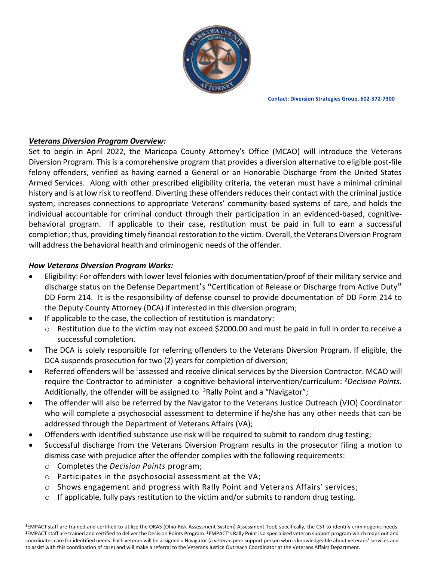

**Contact: Diversion Strategies Group, 602-372-7300**

## *Veterans Diversion Program Overview:*

Set to begin in April 2022, the Maricopa County Attorney's Office (MCAO) will introduce the Veterans Diversion Program. This is a comprehensive program that provides a diversion alternative to eligible post-file felony offenders, verified as having earned a General or an Honorable Discharge from the United States Armed Services. Along with other prescribed eligibility criteria, the veteran must have a minimal criminal history and is at low risk to reoffend. Diverting these offenders reduces their contact with the criminal justice system, increases connections to appropriate Veterans' community-based systems of care, and holds the individual accountable for criminal conduct through their participation in an evidenced-based, cognitivebehavioral program. If applicable to their case, restitution must be paid in full to earn a successful completion; thus, providing timely financial restoration to the victim. Overall, the Veterans Diversion Program will address the behavioral health and criminogenic needs of the offender.

## *How Veterans Diversion Program Works:*

- Eligibility: For offenders with lower level felonies with documentation/proof of their military service and discharge status on the Defense Department's "Certification of Release or Discharge from Active Duty" DD Form 214. It is the responsibility of defense counsel to provide documentation of DD Form 214 to the Deputy County Attorney (DCA) if interested in this diversion program;
- If applicable to the case, the collection of restitution is mandatory:
	- o Restitution due to the victim may not exceed \$2000.00 and must be paid in full in order to receive a successful completion.
- The DCA is solely responsible for referring offenders to the Veterans Diversion Program. If eligible, the DCA suspends prosecution for two (2) years for completion of diversion;
- Referred offenders will be <sup>1</sup>assessed and receive clinical services by the Diversion Contractor. MCAO will require the Contractor to administer a cognitive-behavioral intervention/curriculum: <sup>2</sup>*Decision Points*. Additionally, the offender will be assigned to  $3$ Rally Point and a "Navigator";
- The offender will also be referred by the Navigator to the Veterans Justice Outreach (VJO) Coordinator who will complete a psychosocial assessment to determine if he/she has any other needs that can be addressed through the Department of Veterans Affairs (VA);
- Offenders with identified substance use risk will be required to submit to random drug testing;
- Successful discharge from the Veterans Diversion Program results in the prosecutor filing a motion to dismiss case with prejudice after the offender complies with the following requirements:
	- o Completes the *Decision Points* program;
	- o Participates in the psychosocial assessment at the VA;
	- o Shows engagement and progress with Rally Point and Veterans Affairs' services;
	- $\circ$  If applicable, fully pays restitution to the victim and/or submits to random drug testing.